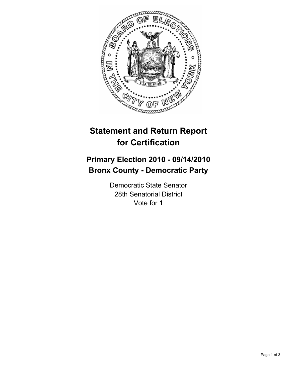

# **Statement and Return Report for Certification**

# **Primary Election 2010 - 09/14/2010 Bronx County - Democratic Party**

Democratic State Senator 28th Senatorial District Vote for 1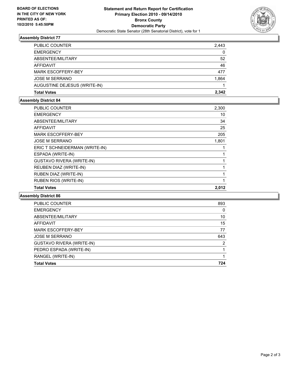

### **Assembly District 77**

| PUBLIC COUNTER               | 2,443 |
|------------------------------|-------|
| <b>EMERGENCY</b>             | 0     |
| ABSENTEE/MILITARY            | 52    |
| AFFIDAVIT                    | 46    |
| <b>MARK ESCOFFERY-BEY</b>    | 477   |
| <b>JOSE M SERRANO</b>        | 1,864 |
| AUGUSTINE DEJESUS (WRITE-IN) |       |
| <b>Total Votes</b>           | 2.342 |

## **Assembly District 84**

| <b>PUBLIC COUNTER</b>            | 2,300 |
|----------------------------------|-------|
| <b>EMERGENCY</b>                 | 10    |
| ABSENTEE/MILITARY                | 34    |
| <b>AFFIDAVIT</b>                 | 25    |
| <b>MARK ESCOFFERY-BEY</b>        | 205   |
| <b>JOSE M SERRANO</b>            | 1,801 |
| ERIC T SCHNEIDERMAN (WRITE-IN)   |       |
| ESPADA (WRITE-IN)                |       |
| <b>GUSTAVO RIVERA (WRITE-IN)</b> |       |
| REUBEN DIAZ (WRITE-IN)           |       |
| RUBEN DIAZ (WRITE-IN)            |       |
| <b>RUBEN RIOS (WRITE-IN)</b>     |       |
| <b>Total Votes</b>               | 2,012 |

#### **Assembly District 86**

| PUBLIC COUNTER                   | 893 |
|----------------------------------|-----|
| <b>EMERGENCY</b>                 | 0   |
| ABSENTEE/MILITARY                | 10  |
| AFFIDAVIT                        | 15  |
| <b>MARK ESCOFFERY-BEY</b>        | 77  |
| <b>JOSE M SERRANO</b>            | 643 |
| <b>GUSTAVO RIVERA (WRITE-IN)</b> | 2   |
| PEDRO ESPADA (WRITE-IN)          |     |
| RANGEL (WRITE-IN)                |     |
| <b>Total Votes</b>               | 724 |